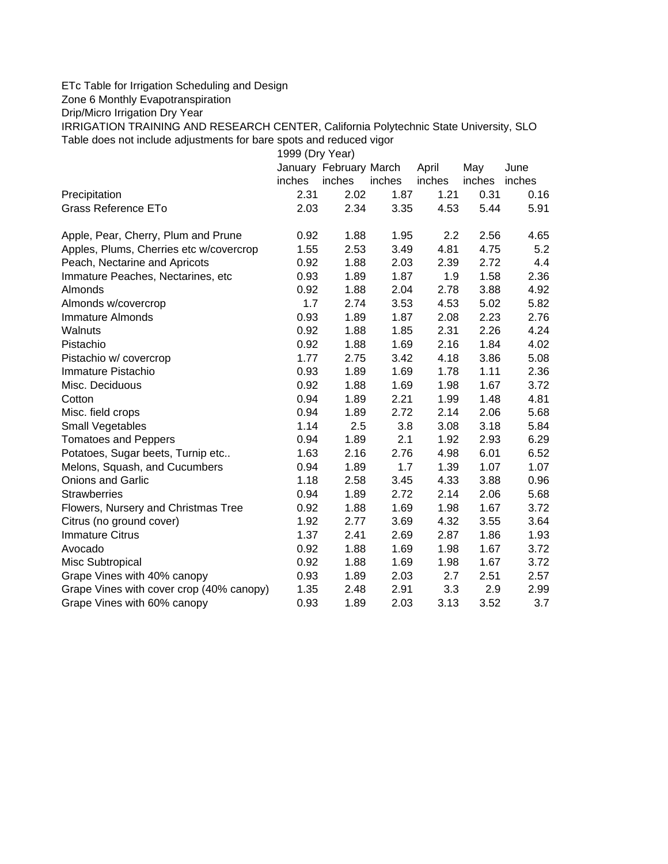## ETc Table for Irrigation Scheduling and Design

Zone 6 Monthly Evapotranspiration

Drip/Micro Irrigation Dry Year

IRRIGATION TRAINING AND RESEARCH CENTER, California Polytechnic State University, SLO Table does not include adjustments for bare spots and reduced vigor

| 1999 (Dry Year)                          |        |                        |        |        |        |        |  |  |  |  |  |  |
|------------------------------------------|--------|------------------------|--------|--------|--------|--------|--|--|--|--|--|--|
|                                          |        | January February March |        | April  | May    | June   |  |  |  |  |  |  |
|                                          | inches | inches                 | inches | inches | inches | inches |  |  |  |  |  |  |
| Precipitation                            | 2.31   | 2.02                   | 1.87   | 1.21   | 0.31   | 0.16   |  |  |  |  |  |  |
| <b>Grass Reference ETo</b>               | 2.03   | 2.34                   | 3.35   | 4.53   | 5.44   | 5.91   |  |  |  |  |  |  |
| Apple, Pear, Cherry, Plum and Prune      | 0.92   | 1.88                   | 1.95   | 2.2    | 2.56   | 4.65   |  |  |  |  |  |  |
| Apples, Plums, Cherries etc w/covercrop  | 1.55   | 2.53                   | 3.49   | 4.81   | 4.75   | 5.2    |  |  |  |  |  |  |
| Peach, Nectarine and Apricots            | 0.92   | 1.88                   | 2.03   | 2.39   | 2.72   | 4.4    |  |  |  |  |  |  |
| Immature Peaches, Nectarines, etc        | 0.93   | 1.89                   | 1.87   | 1.9    | 1.58   | 2.36   |  |  |  |  |  |  |
| Almonds                                  | 0.92   | 1.88                   | 2.04   | 2.78   | 3.88   | 4.92   |  |  |  |  |  |  |
| Almonds w/covercrop                      | 1.7    | 2.74                   | 3.53   | 4.53   | 5.02   | 5.82   |  |  |  |  |  |  |
| <b>Immature Almonds</b>                  | 0.93   | 1.89                   | 1.87   | 2.08   | 2.23   | 2.76   |  |  |  |  |  |  |
| Walnuts                                  | 0.92   | 1.88                   | 1.85   | 2.31   | 2.26   | 4.24   |  |  |  |  |  |  |
| Pistachio                                | 0.92   | 1.88                   | 1.69   | 2.16   | 1.84   | 4.02   |  |  |  |  |  |  |
| Pistachio w/ covercrop                   | 1.77   | 2.75                   | 3.42   | 4.18   | 3.86   | 5.08   |  |  |  |  |  |  |
| Immature Pistachio                       | 0.93   | 1.89                   | 1.69   | 1.78   | 1.11   | 2.36   |  |  |  |  |  |  |
| Misc. Deciduous                          | 0.92   | 1.88                   | 1.69   | 1.98   | 1.67   | 3.72   |  |  |  |  |  |  |
| Cotton                                   | 0.94   | 1.89                   | 2.21   | 1.99   | 1.48   | 4.81   |  |  |  |  |  |  |
| Misc. field crops                        | 0.94   | 1.89                   | 2.72   | 2.14   | 2.06   | 5.68   |  |  |  |  |  |  |
| Small Vegetables                         | 1.14   | 2.5                    | 3.8    | 3.08   | 3.18   | 5.84   |  |  |  |  |  |  |
| <b>Tomatoes and Peppers</b>              | 0.94   | 1.89                   | 2.1    | 1.92   | 2.93   | 6.29   |  |  |  |  |  |  |
| Potatoes, Sugar beets, Turnip etc        | 1.63   | 2.16                   | 2.76   | 4.98   | 6.01   | 6.52   |  |  |  |  |  |  |
| Melons, Squash, and Cucumbers            | 0.94   | 1.89                   | 1.7    | 1.39   | 1.07   | 1.07   |  |  |  |  |  |  |
| <b>Onions and Garlic</b>                 | 1.18   | 2.58                   | 3.45   | 4.33   | 3.88   | 0.96   |  |  |  |  |  |  |
| <b>Strawberries</b>                      | 0.94   | 1.89                   | 2.72   | 2.14   | 2.06   | 5.68   |  |  |  |  |  |  |
| Flowers, Nursery and Christmas Tree      | 0.92   | 1.88                   | 1.69   | 1.98   | 1.67   | 3.72   |  |  |  |  |  |  |
| Citrus (no ground cover)                 | 1.92   | 2.77                   | 3.69   | 4.32   | 3.55   | 3.64   |  |  |  |  |  |  |
| <b>Immature Citrus</b>                   | 1.37   | 2.41                   | 2.69   | 2.87   | 1.86   | 1.93   |  |  |  |  |  |  |
| Avocado                                  | 0.92   | 1.88                   | 1.69   | 1.98   | 1.67   | 3.72   |  |  |  |  |  |  |
| Misc Subtropical                         | 0.92   | 1.88                   | 1.69   | 1.98   | 1.67   | 3.72   |  |  |  |  |  |  |
| Grape Vines with 40% canopy              | 0.93   | 1.89                   | 2.03   | 2.7    | 2.51   | 2.57   |  |  |  |  |  |  |
| Grape Vines with cover crop (40% canopy) | 1.35   | 2.48                   | 2.91   | 3.3    | 2.9    | 2.99   |  |  |  |  |  |  |
| Grape Vines with 60% canopy              | 0.93   | 1.89                   | 2.03   | 3.13   | 3.52   | 3.7    |  |  |  |  |  |  |